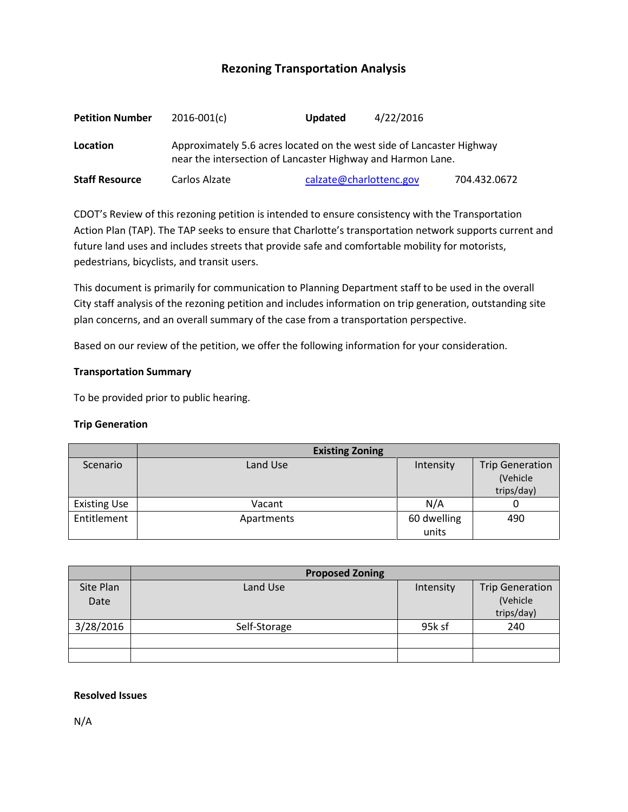# **Rezoning Transportation Analysis**

| <b>Petition Number</b> | $2016 - 001(c)$                                                                                                                      | <b>Updated</b>          | 4/22/2016 |              |  |  |
|------------------------|--------------------------------------------------------------------------------------------------------------------------------------|-------------------------|-----------|--------------|--|--|
| Location               | Approximately 5.6 acres located on the west side of Lancaster Highway<br>near the intersection of Lancaster Highway and Harmon Lane. |                         |           |              |  |  |
| <b>Staff Resource</b>  | Carlos Alzate                                                                                                                        | calzate@charlottenc.gov |           | 704.432.0672 |  |  |

CDOT's Review of this rezoning petition is intended to ensure consistency with the Transportation Action Plan (TAP). The TAP seeks to ensure that Charlotte's transportation network supports current and future land uses and includes streets that provide safe and comfortable mobility for motorists, pedestrians, bicyclists, and transit users.

This document is primarily for communication to Planning Department staff to be used in the overall City staff analysis of the rezoning petition and includes information on trip generation, outstanding site plan concerns, and an overall summary of the case from a transportation perspective.

Based on our review of the petition, we offer the following information for your consideration.

#### **Transportation Summary**

To be provided prior to public hearing.

#### **Trip Generation**

|                     | <b>Existing Zoning</b> |             |                        |  |
|---------------------|------------------------|-------------|------------------------|--|
| Scenario            | Land Use               | Intensity   | <b>Trip Generation</b> |  |
|                     |                        |             | (Vehicle               |  |
|                     |                        |             | trips/day)             |  |
| <b>Existing Use</b> | Vacant                 | N/A         |                        |  |
| Entitlement         | Apartments             | 60 dwelling | 490                    |  |
|                     |                        | units       |                        |  |

|           | <b>Proposed Zoning</b> |           |                        |  |
|-----------|------------------------|-----------|------------------------|--|
| Site Plan | Land Use               | Intensity | <b>Trip Generation</b> |  |
| Date      |                        |           | (Vehicle               |  |
|           |                        |           | trips/day)             |  |
| 3/28/2016 | Self-Storage           | 95k sf    | 240                    |  |
|           |                        |           |                        |  |
|           |                        |           |                        |  |

#### **Resolved Issues**

N/A